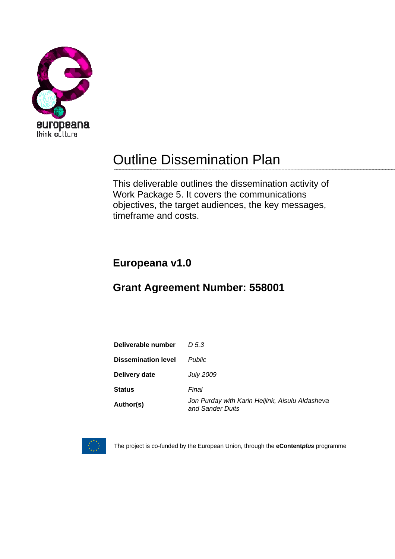

# Outline Dissemination Plan

This deliverable outlines the dissemination activity of Work Package 5. It covers the communications objectives, the target audiences, the key messages, timeframe and costs.

## **Europeana v1.0**

## **Grant Agreement Number: 558001**

| Deliverable number         | D 5.3                                                               |
|----------------------------|---------------------------------------------------------------------|
| <b>Dissemination level</b> | <b>Public</b>                                                       |
| Delivery date              | <b>July 2009</b>                                                    |
| <b>Status</b>              | Final                                                               |
| Author(s)                  | Jon Purday with Karin Heijink, Aisulu Aldasheva<br>and Sander Duits |



The project is co-funded by the European Union, through the **eContent***plus* programme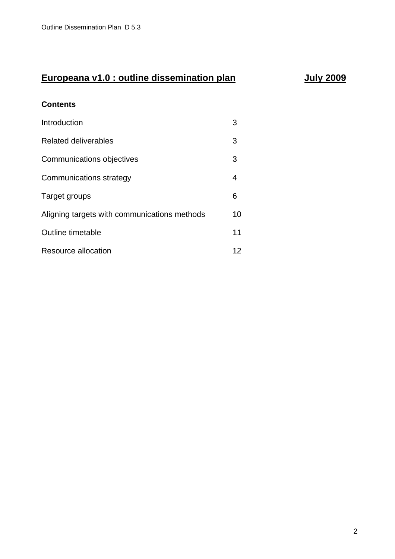## **Europeana v1.0 : outline dissemination plan can be allowed by a set of the United States States Europe**

#### **Contents**

| Introduction                                 | З  |
|----------------------------------------------|----|
| Related deliverables                         | 3  |
| Communications objectives                    | 3  |
| Communications strategy                      | 4  |
| Target groups                                | 6  |
| Aligning targets with communications methods | 10 |
| Outline timetable                            | 11 |
| Resource allocation                          | 12 |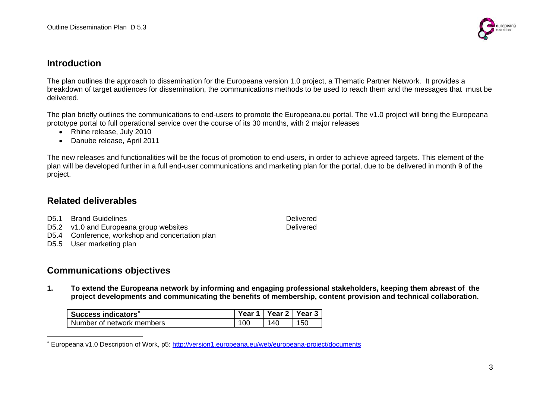

#### **Introduction**

The plan outlines the approach to dissemination for the Europeana version 1.0 project, a Thematic Partner Network. It provides a breakdown of target audiences for dissemination, the communications methods to be used to reach them and the messages that must be delivered.

The plan briefly outlines the communications to end-users to promote the Europeana.eu portal. The v1.0 project will bring the Europeana prototype portal to full operational service over the course of its 30 months, with 2 major releases

- Rhine release, July 2010
- Danube release, April 2011

The new releases and functionalities will be the focus of promotion to end-users, in order to achieve agreed targets. This element of the plan will be developed further in a full end-user communications and marketing plan for the portal, due to be delivered in month 9 of the project.

## **Related deliverables**

| D5.1 Brand Guidelines<br>Delivered |
|------------------------------------|
|------------------------------------|

- D5.2 v1.0 and Europeana group websites **Delixery** Delivered
- D5.4 Conference, workshop and concertation plan
- D5.5 User marketing plan

## **Communications objectives**

**1. To extend the Europeana network by informing and engaging professional stakeholders, keeping them abreast of the project developments and communicating the benefits of membership, content provision and technical collaboration.** 

| Success indicators*       | Year 1   Year 2   Year 3 |     |
|---------------------------|--------------------------|-----|
| Number of network members | 140                      | 150 |

<span id="page-2-0"></span><sup>∗</sup> Europeana v1.0 Description of Work, p5: <http://version1.europeana.eu/web/europeana-project/documents>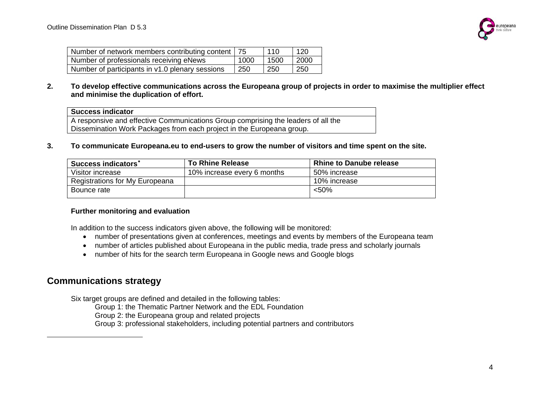

| Number of network members contributing content   75 |      | 110  | 120  |
|-----------------------------------------------------|------|------|------|
| Number of professionals receiving eNews             | 1000 | 1500 | 2000 |
| Number of participants in v1.0 plenary sessions     | 250  | 250  | 250  |

**2. To develop effective communications across the Europeana group of projects in order to maximise the multiplier effect and minimise the duplication of effort.** 

#### **Success indicator**

A responsive and effective Communications Group comprising the leaders of all the Dissemination Work Packages from each project in the Europeana group.

**3. To communicate Europeana.eu to end-users to grow the number of visitors and time spent on the site.** 

| Success indicators <sup>*</sup> | <b>To Rhine Release</b>     | <b>Rhine to Danube release</b> |
|---------------------------------|-----------------------------|--------------------------------|
| Visitor increase                | 10% increase every 6 months | 50% increase                   |
| Registrations for My Europeana  |                             | 10% increase                   |
| Bounce rate                     |                             | $< 50\%$                       |

#### **Further monitoring and evaluation**

In addition to the success indicators given above, the following will be monitored:

- number of presentations given at conferences, meetings and events by members of the Europeana team
- number of articles published about Europeana in the public media, trade press and scholarly journals
- number of hits for the search term Europeana in Google news and Google blogs

### <span id="page-3-0"></span>**Communications strategy**

Six target groups are defined and detailed in the following tables:

Group 1: the Thematic Partner Network and the EDL Foundation

Group 2: the Europeana group and related projects

Group 3: professional stakeholders, including potential partners and contributors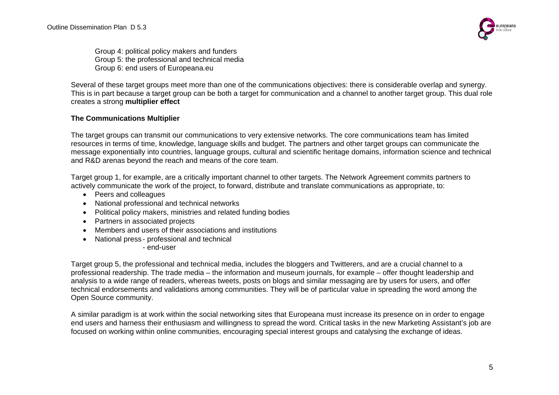

Group 4: political policy makers and funders Group 5: the professional and technical media Group 6: end users of Europeana.eu

Several of these target groups meet more than one of the communications objectives: there is considerable overlap and synergy. This is in part because a target group can be both a target for communication and a channel to another target group. This dual role creates a strong **multiplier effect**

#### **The Communications Multiplier**

The target groups can transmit our communications to very extensive networks. The core communications team has limited resources in terms of time, knowledge, language skills and budget. The partners and other target groups can communicate the message exponentially into countries, language groups, cultural and scientific heritage domains, information science and technical and R&D arenas beyond the reach and means of the core team.

Target group 1, for example, are a critically important channel to other targets. The Network Agreement commits partners to actively communicate the work of the project, to forward, distribute and translate communications as appropriate, to:

- Peers and colleagues
- National professional and technical networks
- Political policy makers, ministries and related funding bodies
- Partners in associated projects
- Members and users of their associations and institutions
- National press professional and technical

- end-user

Target group 5, the professional and technical media, includes the bloggers and Twitterers, and are a crucial channel to a professional readership. The trade media – the information and museum journals, for example – offer thought leadership and analysis to a wide range of readers, whereas tweets, posts on blogs and similar messaging are by users for users, and offer technical endorsements and validations among communities. They will be of particular value in spreading the word among the Open Source community.

A similar paradigm is at work within the social networking sites that Europeana must increase its presence on in order to engage end users and harness their enthusiasm and willingness to spread the word. Critical tasks in the new Marketing Assistant's job are focused on working within online communities, encouraging special interest groups and catalysing the exchange of ideas.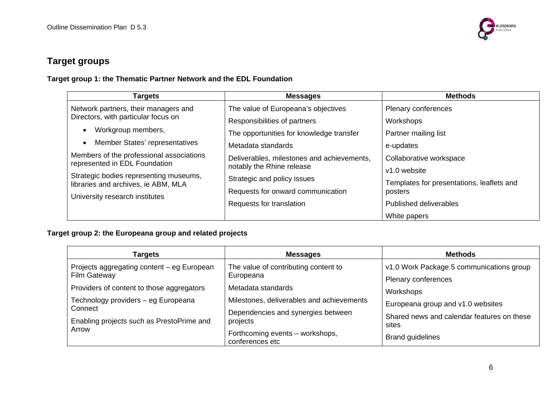

## **Target groups**

**Target group 1: the Thematic Partner Network and the EDL Foundation** 

| <b>Targets</b>                                                                | <b>Messages</b>                            | <b>Methods</b>                            |
|-------------------------------------------------------------------------------|--------------------------------------------|-------------------------------------------|
| Network partners, their managers and                                          | The value of Europeana's objectives        | Plenary conferences                       |
| Directors, with particular focus on                                           | Responsibilities of partners               | Workshops                                 |
| Workgroup members,                                                            | The opportunities for knowledge transfer   | Partner mailing list                      |
| Member States' representatives                                                | Metadata standards                         | e-updates                                 |
| Members of the professional associations<br>represented in EDL Foundation     | Deliverables, milestones and achievements, | Collaborative workspace                   |
|                                                                               | notably the Rhine release                  | v1.0 website                              |
| Strategic bodies representing museums,<br>libraries and archives, ie ABM, MLA | Strategic and policy issues                | Templates for presentations, leaflets and |
|                                                                               | Requests for onward communication          | posters                                   |
| University research institutes                                                | Requests for translation                   | Published deliverables                    |
|                                                                               |                                            | White papers                              |

#### **Target group 2: the Europeana group and related projects**

| Targets                                                           | <b>Messages</b>                                    | <b>Methods</b>                                      |
|-------------------------------------------------------------------|----------------------------------------------------|-----------------------------------------------------|
| Projects aggregating content - eg European<br><b>Film Gateway</b> | The value of contributing content to<br>Europeana  | v1.0 Work Package 5 communications group            |
| Providers of content to those aggregators                         | Metadata standards                                 | Plenary conferences<br>Workshops                    |
| Technology providers - eg Europeana<br>Connect                    | Milestones, deliverables and achievements          | Europeana group and v1.0 websites                   |
| Enabling projects such as PrestoPrime and                         | Dependencies and synergies between<br>projects     | Shared news and calendar features on these<br>sites |
| Arrow                                                             | Forthcoming events - workshops,<br>conferences etc | <b>Brand guidelines</b>                             |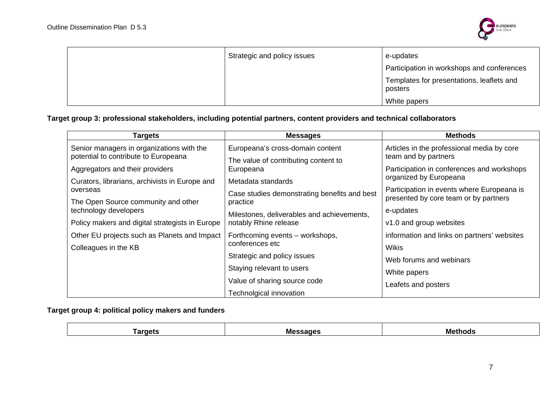

| Strategic and policy issues | e-updates                                            |
|-----------------------------|------------------------------------------------------|
|                             | Participation in workshops and conferences           |
|                             | Templates for presentations, leaflets and<br>posters |
|                             | White papers                                         |

#### **Target group 3: professional stakeholders, including potential partners, content providers and technical collaborators**

| Targets                                                                           | <b>Messages</b>                                                          | <b>Methods</b>                                                                      |
|-----------------------------------------------------------------------------------|--------------------------------------------------------------------------|-------------------------------------------------------------------------------------|
| Senior managers in organizations with the<br>potential to contribute to Europeana | Europeana's cross-domain content<br>The value of contributing content to | Articles in the professional media by core<br>team and by partners                  |
| Aggregators and their providers                                                   | Europeana                                                                | Participation in conferences and workshops                                          |
| Curators, librarians, archivists in Europe and                                    | Metadata standards                                                       | organized by Europeana                                                              |
| overseas<br>The Open Source community and other                                   | Case studies demonstrating benefits and best<br>practice                 | Participation in events where Europeana is<br>presented by core team or by partners |
| technology developers                                                             | Milestones, deliverables and achievements,                               | e-updates                                                                           |
| Policy makers and digital strategists in Europe                                   | notably Rhine release                                                    | v1.0 and group websites                                                             |
| Other EU projects such as Planets and Impact                                      | Forthcoming events – workshops,                                          | information and links on partners' websites                                         |
| Colleagues in the KB                                                              | conferences etc                                                          | Wikis                                                                               |
|                                                                                   | Strategic and policy issues                                              | Web forums and webinars                                                             |
|                                                                                   | Staying relevant to users                                                | White papers                                                                        |
|                                                                                   | Value of sharing source code                                             | Leafets and posters                                                                 |
|                                                                                   | Technolgical innovation                                                  |                                                                                     |

**Target group 4: political policy makers and funders** 

| Mes<br><b>Fargets</b><br>ssages<br>יומחנ<br>I 61 I |
|----------------------------------------------------|
|----------------------------------------------------|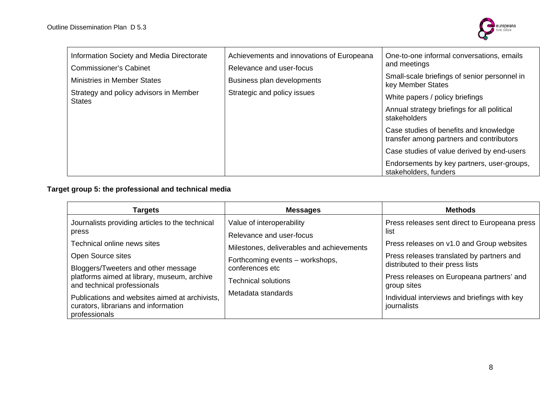

## **Target group 5: the professional and technical media**

| Targets                                                                                                                                                                                                                                                                                                                                      | <b>Messages</b>                                                                                                                                                                                              | <b>Methods</b>                                                                                                                                                                                                                                                                                                 |
|----------------------------------------------------------------------------------------------------------------------------------------------------------------------------------------------------------------------------------------------------------------------------------------------------------------------------------------------|--------------------------------------------------------------------------------------------------------------------------------------------------------------------------------------------------------------|----------------------------------------------------------------------------------------------------------------------------------------------------------------------------------------------------------------------------------------------------------------------------------------------------------------|
| Journalists providing articles to the technical<br>press<br>Technical online news sites<br>Open Source sites<br>Bloggers/Tweeters and other message<br>platforms aimed at library, museum, archive<br>and technical professionals<br>Publications and websites aimed at archivists,<br>curators, librarians and information<br>professionals | Value of interoperability<br>Relevance and user-focus<br>Milestones, deliverables and achievements<br>Forthcoming events - workshops,<br>conferences etc<br><b>Technical solutions</b><br>Metadata standards | Press releases sent direct to Europeana press<br>list<br>Press releases on v1.0 and Group websites<br>Press releases translated by partners and<br>distributed to their press lists<br>Press releases on Europeana partners' and<br>group sites<br>Individual interviews and briefings with key<br>journalists |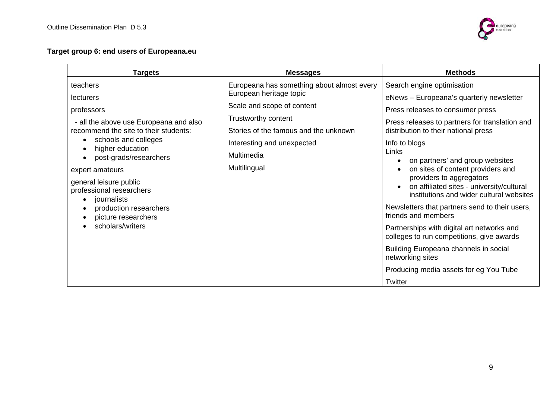

#### **Target group 6: end users of Europeana.eu**

| <b>Targets</b>                           | <b>Messages</b>                            | <b>Methods</b>                                                                          |
|------------------------------------------|--------------------------------------------|-----------------------------------------------------------------------------------------|
| teachers                                 | Europeana has something about almost every | Search engine optimisation                                                              |
| <b>lecturers</b>                         | European heritage topic                    | eNews - Europeana's quarterly newsletter                                                |
| professors                               | Scale and scope of content                 | Press releases to consumer press                                                        |
| - all the above use Europeana and also   | Trustworthy content                        | Press releases to partners for translation and                                          |
| recommend the site to their students:    | Stories of the famous and the unknown      | distribution to their national press                                                    |
| schools and colleges<br>higher education | Interesting and unexpected                 | Info to blogs                                                                           |
| post-grads/researchers                   | Multimedia                                 | Links<br>on partners' and group websites<br>$\bullet$                                   |
| expert amateurs                          | Multilingual                               | on sites of content providers and                                                       |
| general leisure public                   |                                            | providers to aggregators<br>on affiliated sites - university/cultural                   |
| professional researchers<br>journalists  |                                            | institutions and wider cultural websites                                                |
| production researchers                   |                                            | Newsletters that partners send to their users,                                          |
| picture researchers                      |                                            | friends and members                                                                     |
| scholars/writers                         |                                            | Partnerships with digital art networks and<br>colleges to run competitions, give awards |
|                                          |                                            | Building Europeana channels in social<br>networking sites                               |
|                                          |                                            | Producing media assets for eg You Tube                                                  |
|                                          |                                            | Twitter                                                                                 |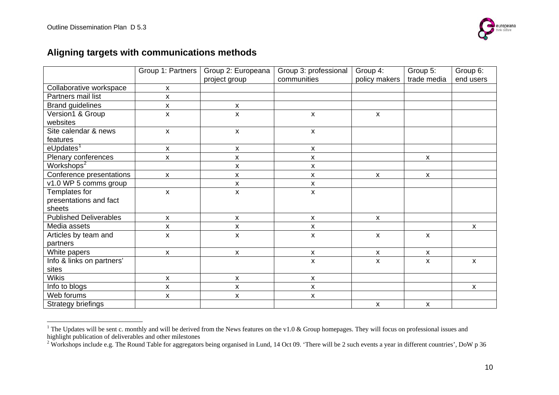

## **Aligning targets with communications methods**

|                               | Group 1: Partners  | Group 2: Europeana | Group 3: professional     | Group 4:                  | Group 5:                  | Group 6:     |
|-------------------------------|--------------------|--------------------|---------------------------|---------------------------|---------------------------|--------------|
|                               |                    | project group      | communities               | policy makers             | trade media               | end users    |
| Collaborative workspace       | X                  |                    |                           |                           |                           |              |
| Partners mail list            | X                  |                    |                           |                           |                           |              |
| <b>Brand guidelines</b>       | $\pmb{\mathsf{X}}$ | x                  |                           |                           |                           |              |
| Version1 & Group              | X                  | X                  | $\boldsymbol{\mathsf{x}}$ | $\pmb{\chi}$              |                           |              |
| websites                      |                    |                    |                           |                           |                           |              |
| Site calendar & news          | X                  | X                  | X                         |                           |                           |              |
| features                      |                    |                    |                           |                           |                           |              |
| $e$ Updates <sup>1</sup>      | X                  | X                  | X                         |                           |                           |              |
| Plenary conferences           | $\pmb{\mathsf{X}}$ | X                  | $\pmb{\mathsf{x}}$        |                           | $\boldsymbol{\mathsf{X}}$ |              |
| Workshops <sup>2</sup>        |                    | X                  | X                         |                           |                           |              |
| Conference presentations      | X                  | X                  | X                         | $\boldsymbol{\mathsf{x}}$ | $\pmb{\chi}$              |              |
| $\sqrt{10}$ WP 5 comms group  |                    | Χ                  | $\pmb{\mathsf{x}}$        |                           |                           |              |
| Templates for                 | X                  | X                  | $\pmb{\times}$            |                           |                           |              |
| presentations and fact        |                    |                    |                           |                           |                           |              |
| sheets                        |                    |                    |                           |                           |                           |              |
| <b>Published Deliverables</b> | $\pmb{\times}$     | X                  | $\pmb{\times}$            | $\pmb{\mathsf{X}}$        |                           |              |
| Media assets                  | $\pmb{\mathsf{X}}$ | Χ                  | X                         |                           |                           | X            |
| Articles by team and          | X                  | X                  | X                         | $\pmb{\times}$            | X                         |              |
| partners                      |                    |                    |                           |                           |                           |              |
| White papers                  | X                  | X                  | X                         | $\boldsymbol{\mathsf{x}}$ | $\boldsymbol{\mathsf{x}}$ |              |
| Info & links on partners'     |                    |                    | $\mathsf{x}$              | $\pmb{\times}$            | $\pmb{\times}$            | $\mathsf{x}$ |
| sites                         |                    |                    |                           |                           |                           |              |
| <b>Wikis</b>                  | X                  | X                  | X                         |                           |                           |              |
| Info to blogs                 | $\pmb{\mathsf{x}}$ | $\pmb{\mathsf{X}}$ | $\pmb{\mathsf{x}}$        |                           |                           | X            |
| Web forums                    | X                  | X                  | X                         |                           |                           |              |
| <b>Strategy briefings</b>     |                    |                    |                           | $\boldsymbol{\mathsf{X}}$ | $\boldsymbol{\mathsf{X}}$ |              |

<span id="page-9-0"></span><sup>&</sup>lt;sup>1</sup> The Updates will be sent c. monthly and will be derived from the News features on the v1.0 & Group homepages. They will focus on professional issues and highlight publication of deliverables and other milestones

<span id="page-9-1"></span> $2 \text{ Works}$  Workshops include e.g. The Round Table for aggregators being organised in Lund, 14 Oct 09. 'There will be 2 such events a year in different countries', DoW p 36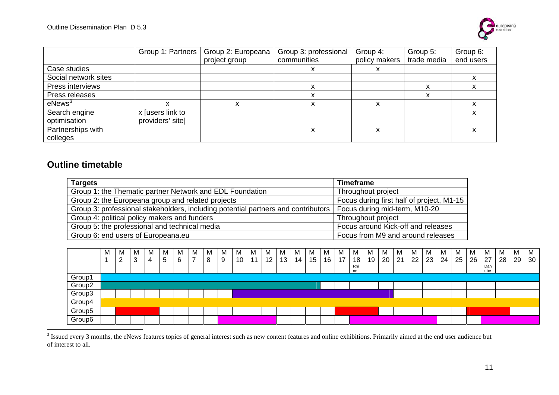

|                      | Group 1: Partners | Group 2: Europeana | Group 3: professional | Group 4:                  | Group 5:    | Group 6:  |
|----------------------|-------------------|--------------------|-----------------------|---------------------------|-------------|-----------|
|                      |                   | project group      | communities           | policy makers             | trade media | end users |
| Case studies         |                   |                    |                       |                           |             |           |
| Social network sites |                   |                    |                       |                           |             |           |
| Press interviews     |                   |                    | x                     |                           | x           | ^         |
| Press releases       |                   |                    | х                     |                           | x           |           |
| $e$ News $3$         | X                 | x                  | x                     | x                         |             |           |
| Search engine        | x Jusers link to  |                    |                       |                           |             |           |
| optimisation         | providers' sitel  |                    |                       |                           |             |           |
| Partnerships with    |                   |                    |                       | $\checkmark$<br>$\lambda$ |             |           |
| colleges             |                   |                    |                       |                           |             |           |

#### **Outline timetable**

| <b>Targets</b>                                                                    | <b>Timeframe</b>                          |
|-----------------------------------------------------------------------------------|-------------------------------------------|
| Group 1: the Thematic partner Network and EDL Foundation                          | Throughout project                        |
| Group 2: the Europeana group and related projects                                 | Focus during first half of project, M1-15 |
| Group 3: professional stakeholders, including potential partners and contributors | Focus during mid-term, M10-20             |
| Group 4: political policy makers and funders                                      | Throughout project                        |
| Group 5: the professional and technical media                                     | Focus around Kick-off and releases        |
| Group 6: end users of Europeana.eu                                                | Focus from M9 and around releases         |

|                    | M | M                  | Μ | М | м | M | M | IV | M | M  | M  | M               | M  | м  | M  |    | M  | M         | M  | M  | .IV | <b>IV</b> | M  | M  | M  | М  | M          | M  | М  | M  |
|--------------------|---|--------------------|---|---|---|---|---|----|---|----|----|-----------------|----|----|----|----|----|-----------|----|----|-----|-----------|----|----|----|----|------------|----|----|----|
|                    |   | $\sim$<br><u>_</u> | × | 4 | 5 | 6 |   | 8  |   | 10 | -4 | 12 <sup>°</sup> | 13 | 14 | 15 | 16 | 17 | 18        | 19 | 20 | 21  | 22        | 23 | 24 | 25 | 26 | 27         | 28 | 29 | 30 |
|                    |   |                    |   |   |   |   |   |    |   |    |    |                 |    |    |    |    |    | Rhi<br>ne |    |    |     |           |    |    |    |    | Dan<br>ube |    |    |    |
| Group1             |   |                    |   |   |   |   |   |    |   |    |    |                 |    |    |    |    |    |           |    |    |     |           |    |    |    |    |            |    |    |    |
| Group <sub>2</sub> |   |                    |   |   |   |   |   |    |   |    |    |                 |    |    |    |    |    |           |    |    |     |           |    |    |    |    |            |    |    |    |
| Group3             |   |                    |   |   |   |   |   |    |   |    |    |                 |    |    |    |    |    |           |    |    |     |           |    |    |    |    |            |    |    |    |
| Group4             |   |                    |   |   |   |   |   |    |   |    |    |                 |    |    |    |    |    |           |    |    |     |           |    |    |    |    |            |    |    |    |
| Group5             |   |                    |   |   |   |   |   |    |   |    |    |                 |    |    |    |    |    |           |    |    |     |           |    |    |    |    |            |    |    |    |
| Group6             |   |                    |   |   |   |   |   |    |   |    |    |                 |    |    |    |    |    |           |    |    |     |           |    |    |    |    |            |    |    |    |

<span id="page-10-0"></span><sup>&</sup>lt;sup>3</sup> Issued every 3 months, the eNews features topics of general interest such as new content features and online exhibitions. Primarily aimed at the end user audience but of interest to all.